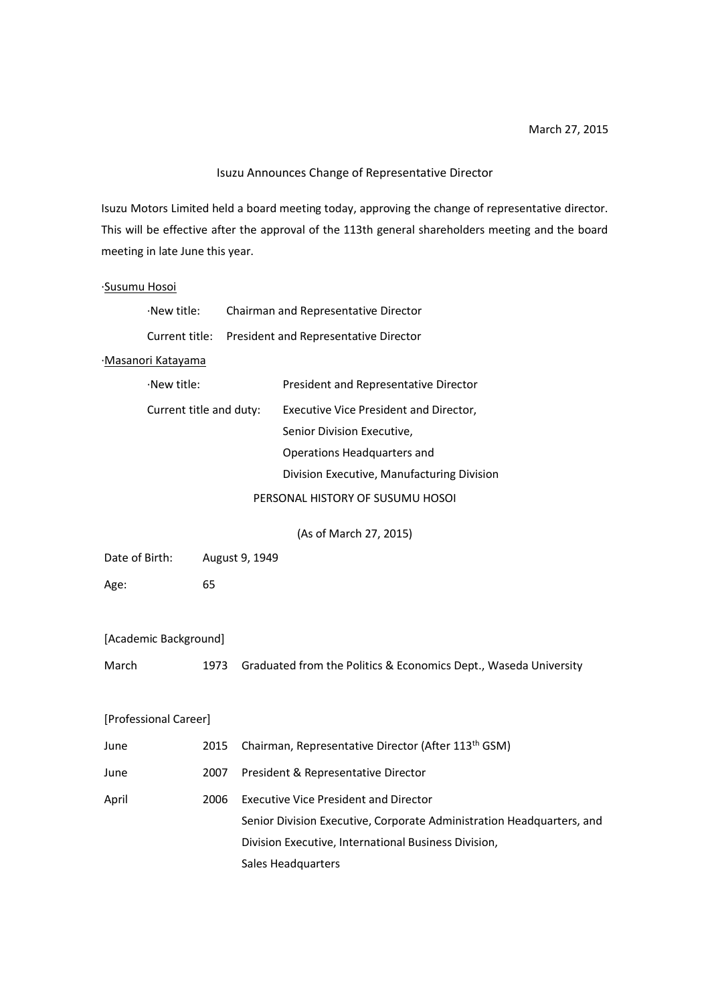## Isuzu Announces Change of Representative Director

Isuzu Motors Limited held a board meeting today, approving the change of representative director. This will be effective after the approval of the 113th general shareholders meeting and the board meeting in late June this year.

### ·Susumu Hosoi

| $\cdot$ New title: | Chairman and Representative Director                 |
|--------------------|------------------------------------------------------|
|                    | Current title: President and Representative Director |

### ·Masanori Katayama

| $\cdot$ New title:      | President and Representative Director      |
|-------------------------|--------------------------------------------|
| Current title and duty: | Executive Vice President and Director,     |
|                         | Senior Division Executive,                 |
|                         | Operations Headquarters and                |
|                         | Division Executive, Manufacturing Division |
|                         | PERSONAL HISTORY OF SUSUMU HOSOI           |

(As of March 27, 2015)

| Date of Birth: | August 9, 1949 |
|----------------|----------------|
|----------------|----------------|

Age: 65

|  | [Academic Background] |
|--|-----------------------|
|--|-----------------------|

March 1973 Graduated from the Politics & Economics Dept., Waseda University

## [Professional Career]

| June  | 2015 | Chairman, Representative Director (After 113 <sup>th</sup> GSM)       |
|-------|------|-----------------------------------------------------------------------|
| June  | 2007 | President & Representative Director                                   |
| April | 2006 | <b>Executive Vice President and Director</b>                          |
|       |      | Senior Division Executive, Corporate Administration Headquarters, and |
|       |      | Division Executive, International Business Division,                  |
|       |      | Sales Headquarters                                                    |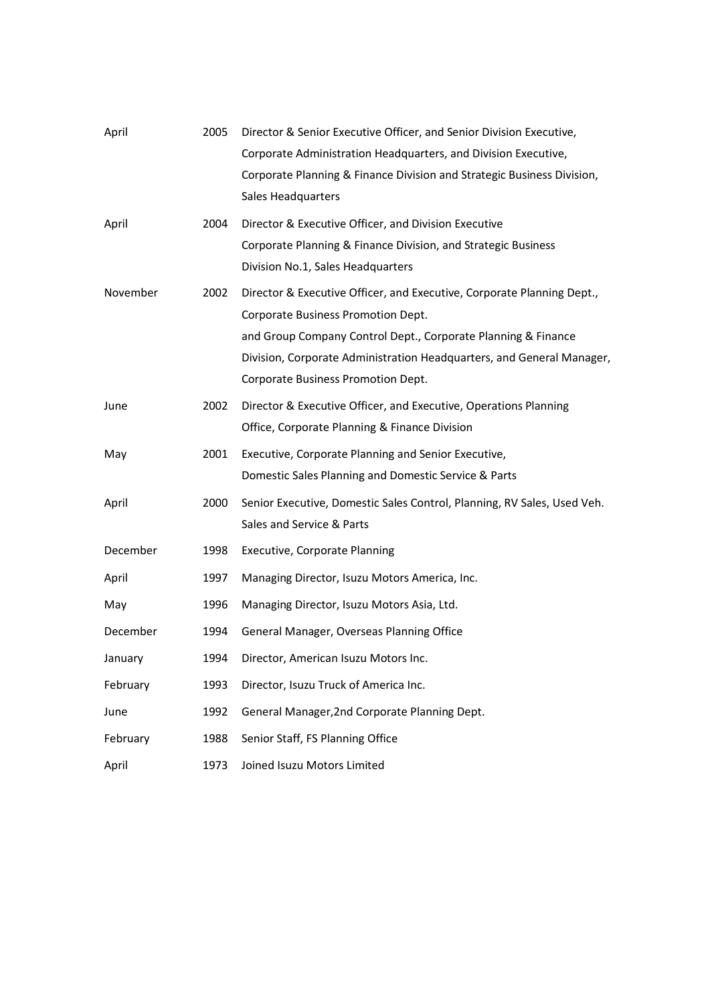| April    | 2005 | Director & Senior Executive Officer, and Senior Division Executive,     |
|----------|------|-------------------------------------------------------------------------|
|          |      | Corporate Administration Headquarters, and Division Executive,          |
|          |      | Corporate Planning & Finance Division and Strategic Business Division,  |
|          |      | Sales Headquarters                                                      |
| April    | 2004 | Director & Executive Officer, and Division Executive                    |
|          |      | Corporate Planning & Finance Division, and Strategic Business           |
|          |      | Division No.1, Sales Headquarters                                       |
| November | 2002 | Director & Executive Officer, and Executive, Corporate Planning Dept.,  |
|          |      | Corporate Business Promotion Dept.                                      |
|          |      | and Group Company Control Dept., Corporate Planning & Finance           |
|          |      | Division, Corporate Administration Headquarters, and General Manager,   |
|          |      | Corporate Business Promotion Dept.                                      |
| June     | 2002 | Director & Executive Officer, and Executive, Operations Planning        |
|          |      | Office, Corporate Planning & Finance Division                           |
| May      | 2001 | Executive, Corporate Planning and Senior Executive,                     |
|          |      | Domestic Sales Planning and Domestic Service & Parts                    |
| April    | 2000 | Senior Executive, Domestic Sales Control, Planning, RV Sales, Used Veh. |
|          |      | Sales and Service & Parts                                               |
| December | 1998 | Executive, Corporate Planning                                           |
| April    | 1997 | Managing Director, Isuzu Motors America, Inc.                           |
| May      | 1996 | Managing Director, Isuzu Motors Asia, Ltd.                              |
| December | 1994 | General Manager, Overseas Planning Office                               |
| January  |      | 1994 Director, American Isuzu Motors Inc.                               |
| February | 1993 | Director, Isuzu Truck of America Inc.                                   |
| June     | 1992 | General Manager, 2nd Corporate Planning Dept.                           |
| February | 1988 | Senior Staff, FS Planning Office                                        |
| April    | 1973 | Joined Isuzu Motors Limited                                             |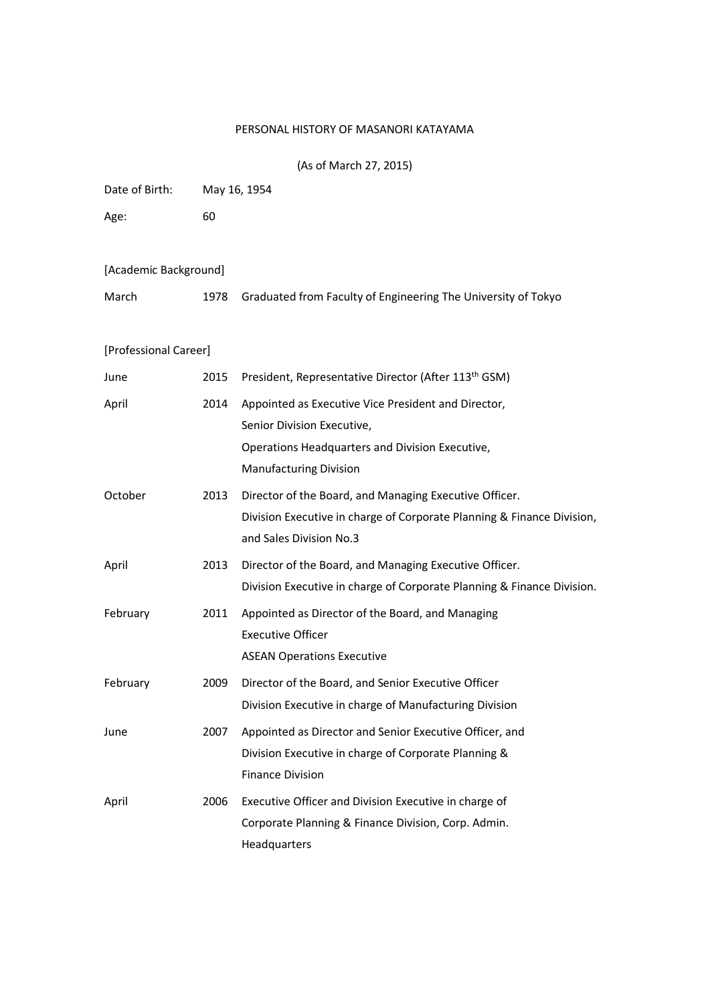# PERSONAL HISTORY OF MASANORI KATAYAMA

| (As of March 27, 2015) |  |  |
|------------------------|--|--|
|------------------------|--|--|

| Date of Birth:        | May 16, 1954 |                                                                                                                                                             |
|-----------------------|--------------|-------------------------------------------------------------------------------------------------------------------------------------------------------------|
| Age:                  | 60           |                                                                                                                                                             |
| [Academic Background] |              |                                                                                                                                                             |
| March                 | 1978         | Graduated from Faculty of Engineering The University of Tokyo                                                                                               |
| [Professional Career] |              |                                                                                                                                                             |
| June                  | 2015         | President, Representative Director (After 113 <sup>th</sup> GSM)                                                                                            |
| April                 | 2014         | Appointed as Executive Vice President and Director,<br>Senior Division Executive,<br>Operations Headquarters and Division Executive,                        |
|                       |              | <b>Manufacturing Division</b>                                                                                                                               |
| October               | 2013         | Director of the Board, and Managing Executive Officer.<br>Division Executive in charge of Corporate Planning & Finance Division,<br>and Sales Division No.3 |
| April                 | 2013         | Director of the Board, and Managing Executive Officer.<br>Division Executive in charge of Corporate Planning & Finance Division.                            |
| February              | 2011         | Appointed as Director of the Board, and Managing<br><b>Executive Officer</b><br><b>ASEAN Operations Executive</b>                                           |
| February              | 2009         | Director of the Board, and Senior Executive Officer<br>Division Executive in charge of Manufacturing Division                                               |
| June                  | 2007         | Appointed as Director and Senior Executive Officer, and<br>Division Executive in charge of Corporate Planning &<br><b>Finance Division</b>                  |
| April                 | 2006         | Executive Officer and Division Executive in charge of<br>Corporate Planning & Finance Division, Corp. Admin.<br>Headquarters                                |